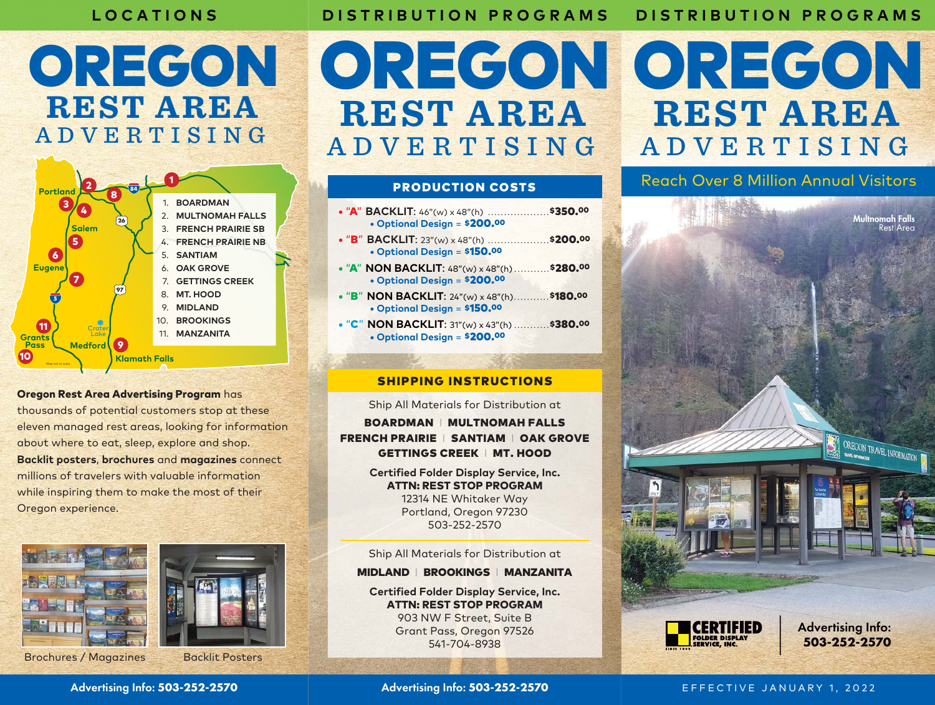# **LOCATIONS**

# **DISTRIBUTION PROGRAMS**

**DISTRIBUTION PROGRAMS**

# OREGON **REST AREA** ADVERTISING



# Oregon Rest Area Advertising Program has

thousands of potential customers stop at these eleven managed rest areas, looking for information about where to eat, sleep, explore and shop. **Backlit posters**, **brochures** and **magazines** connect millions of travelers with valuable information while inspiring them to make the most of their Oregon experience.

Advertising Info: **503-252-2570**



Brochures / Magazines Backlit Posters



# **REST AREA** ADVERTISING

## PRODUCTION COSTS

| • "A" BACKLIT: 46"(w) x 48"(h) \$350.00<br>• Optional Design = \$200.00               |  |
|---------------------------------------------------------------------------------------|--|
| • "B" BACKLIT: 23"(w) x 48"(h) \$200.00<br>• Optional Design = \$150.00               |  |
| • "A" NON BACKLIT: $48"$ (w) x $48"$ (h)  \$280.00<br>• Optional Design = \$200.00    |  |
| • "B" NON BACKLIT: $24''(w) \times 48''(h)$ \$180.00<br>• Optional Design = $$150.00$ |  |
| • "C" NON BACKLIT: $31''(w) \times 43''(h)$ \$380.00<br>• Optional Design $= $200.00$ |  |
|                                                                                       |  |

# SHIPPING INSTRUCTIONS

Ship All Materials for Distribution at

BOARDMAN I MULTNOMAH FALLS FRENCH PRAIRIE | SANTIAM | OAK GROVE GETTINGS CREEK I MT. HOOD

> **Certified Folder Display Service, Inc.** ATTN: REST STOP PROGRAM 12314 NE Whitaker Way Portland, Oregon 97230 503-252-2570

> Ship All Materials for Distribution at

## MIDLAND I BROOKINGS I MANZANITA

**Certified Folder Display Service, Inc.** ATTN: REST STOP PROGRAM 903 NW F Street, Suite B Grant Pass, Oregon 97526 541-704-8938



Reach Over 8 Million Annual Visitors



Advertising Info: **503-252-2570**

EFFECTIVE JANUARY 1, 2022